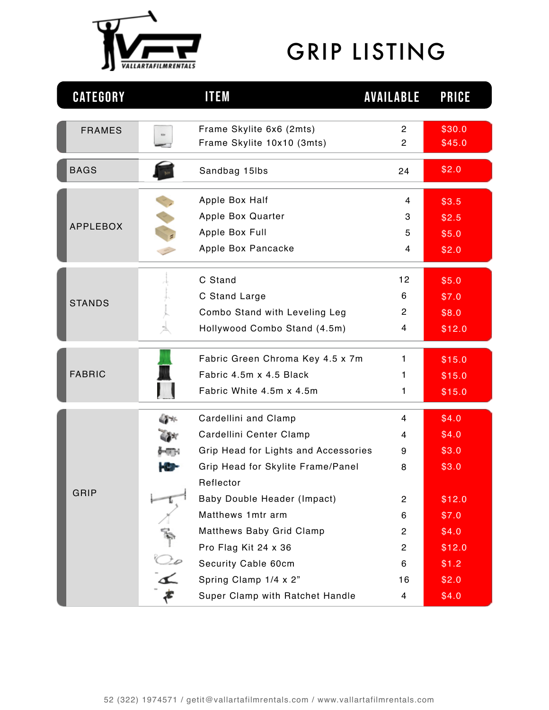

## GRIP LISTING

| <b>CATEGORY</b> |    | <b>ITEM</b>                                                                                                                                                                             | <b>AVAILABLE</b>                                                    | <b>PRICE</b>                                                  |
|-----------------|----|-----------------------------------------------------------------------------------------------------------------------------------------------------------------------------------------|---------------------------------------------------------------------|---------------------------------------------------------------|
| <b>FRAMES</b>   |    | Frame Skylite 6x6 (2mts)<br>Frame Skylite 10x10 (3mts)                                                                                                                                  | $\mathbf{2}$<br>$\overline{2}$                                      | \$30.0<br>\$45.0                                              |
| <b>BAGS</b>     |    | Sandbag 15lbs                                                                                                                                                                           | 24                                                                  | \$2.0                                                         |
| <b>APPLEBOX</b> |    | Apple Box Half<br>Apple Box Quarter<br>Apple Box Full<br>Apple Box Pancacke                                                                                                             | 4<br>3<br>5<br>4                                                    | \$3.5<br>\$2.5<br>\$5.0<br>\$2.0                              |
| <b>STANDS</b>   |    | C Stand<br>C Stand Large<br>Combo Stand with Leveling Leg<br>Hollywood Combo Stand (4.5m)                                                                                               | 12<br>6<br>$\mathbf{2}$<br>4                                        | \$5.0<br>\$7.0<br>\$8.0<br>\$12.0                             |
| <b>FABRIC</b>   |    | Fabric Green Chroma Key 4.5 x 7m<br>Fabric 4.5m x 4.5 Black<br>Fabric White 4.5m x 4.5m                                                                                                 | 1<br>1.<br>1                                                        | \$15.0<br>\$15.0<br>\$15.0                                    |
| GRIP            | 48 | Cardellini and Clamp<br>Cardellini Center Clamp<br>Grip Head for Lights and Accessories<br>Grip Head for Skylite Frame/Panel<br>Reflector                                               | 4<br>4<br>9<br>8                                                    | \$4.0<br>\$4.0<br>\$3.0<br>\$3.0                              |
|                 |    | Baby Double Header (Impact)<br>Matthews 1mtr arm<br>Matthews Baby Grid Clamp<br>Pro Flag Kit 24 x 36<br>Security Cable 60cm<br>Spring Clamp 1/4 x 2"<br>Super Clamp with Ratchet Handle | $\mathbf{2}$<br>6<br>$\overline{2}$<br>$\mathbf{2}$<br>6<br>16<br>4 | \$12.0<br>\$7.0<br>\$4.0<br>\$12.0<br>\$1.2<br>\$2.0<br>\$4.0 |